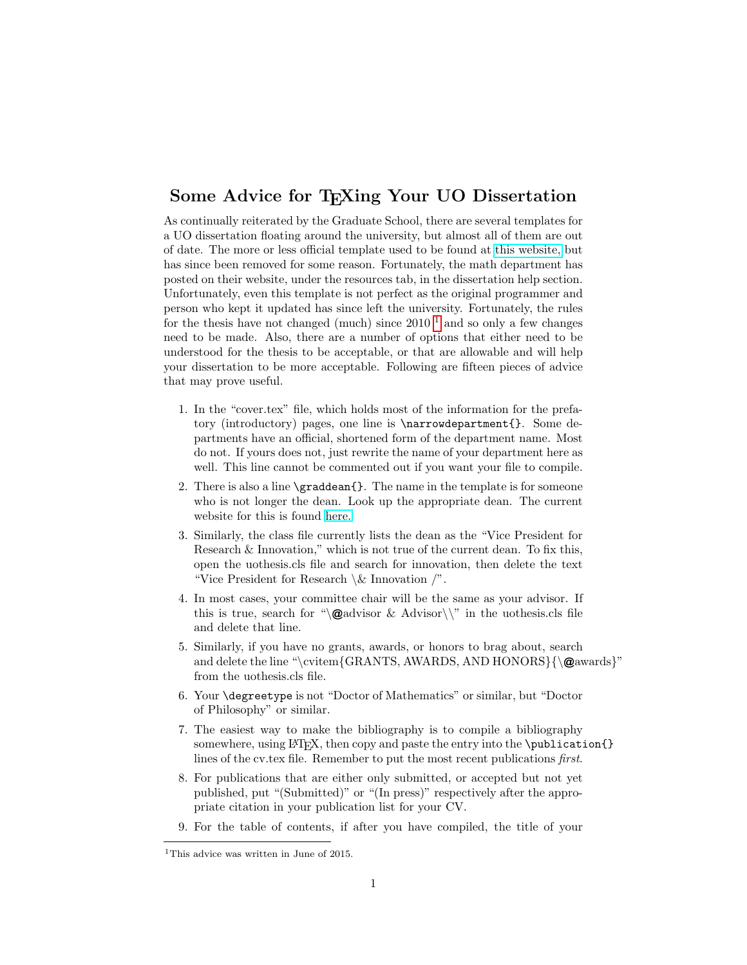## Some Advice for T<sub>F</sub>Xing Your UO Dissertation

As continually reiterated by the Graduate School, there are several templates for a UO dissertation floating around the university, but almost all of them are out of date. The more or less official template used to be found at [this website,](http://blogs.uoregon.edu/uolatexthesisconsulting/about/) but has since been removed for some reason. Fortunately, the math department has posted on their website, under the resources tab, in the dissertation help section. Unfortunately, even this template is not perfect as the original programmer and person who kept it updated has since left the university. Fortunately, the rules for the thesis have not changed (much) since  $2010^{-1}$  $2010^{-1}$  $2010^{-1}$  and so only a few changes need to be made. Also, there are a number of options that either need to be understood for the thesis to be acceptable, or that are allowable and will help your dissertation to be more acceptable. Following are fifteen pieces of advice that may prove useful.

- 1. In the "cover.tex" file, which holds most of the information for the prefatory (introductory) pages, one line is \narrowdepartment{}. Some departments have an official, shortened form of the department name. Most do not. If yours does not, just rewrite the name of your department here as well. This line cannot be commented out if you want your file to compile.
- 2. There is also a line \graddean{}. The name in the template is for someone who is not longer the dean. Look up the appropriate dean. The current website for this is found [here.](https://gradschool.uoregon.edu/people)
- 3. Similarly, the class file currently lists the dean as the "Vice President for Research & Innovation," which is not true of the current dean. To fix this, open the uothesis.cls file and search for innovation, then delete the text "Vice President for Research  $\&$  Innovation  $\prime$ ".
- 4. In most cases, your committee chair will be the same as your advisor. If this is true, search for " $\mathcal{Q}$  advisor & Advisor  $\setminus$ " in the uothesis.cls file and delete that line.
- 5. Similarly, if you have no grants, awards, or honors to brag about, search and delete the line "\cvitem{GRANTS, AWARDS, AND HONORS}{\@awards}" from the uothesis.cls file.
- 6. Your \degreetype is not "Doctor of Mathematics" or similar, but "Doctor of Philosophy" or similar.
- 7. The easiest way to make the bibliography is to compile a bibliography somewhere, using LAT<sub>E</sub>X, then copy and paste the entry into the \publication{} lines of the cv.tex file. Remember to put the most recent publications first.
- 8. For publications that are either only submitted, or accepted but not yet published, put "(Submitted)" or "(In press)" respectively after the appropriate citation in your publication list for your CV.
- 9. For the table of contents, if after you have compiled, the title of your

<span id="page-0-0"></span><sup>&</sup>lt;sup>1</sup>This advice was written in June of 2015.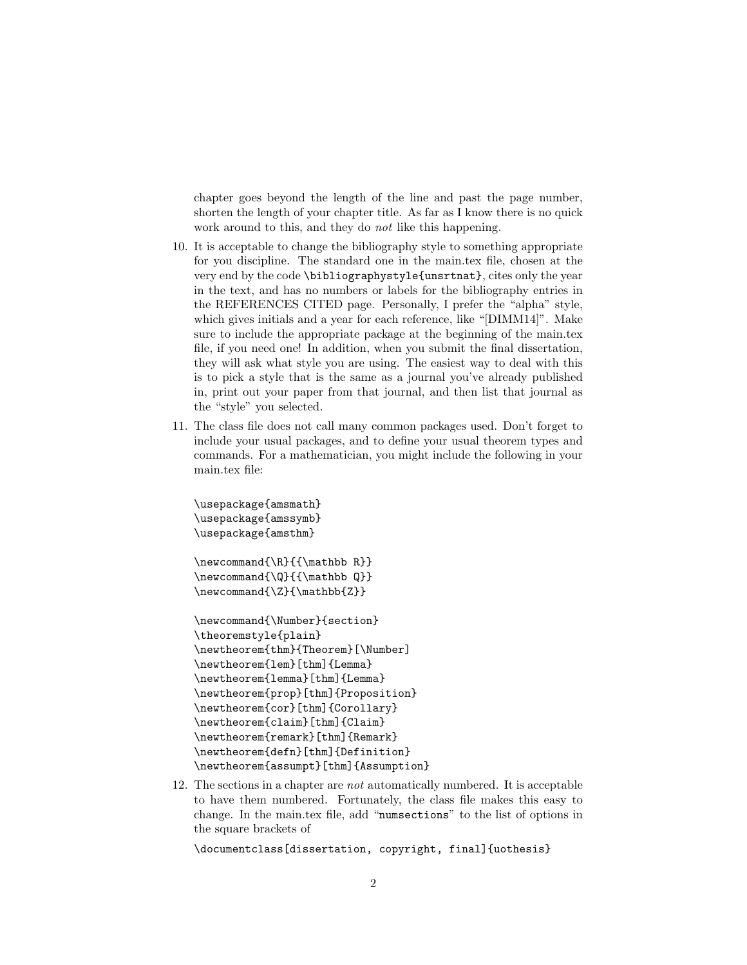chapter goes beyond the length of the line and past the page number, shorten the length of your chapter title. As far as I know there is no quick work around to this, and they do *not* like this happening.

- 10. It is acceptable to change the bibliography style to something appropriate for you discipline. The standard one in the main.tex file, chosen at the very end by the code \bibliographystyle{unsrtnat}, cites only the year in the text, and has no numbers or labels for the bibliography entries in the REFERENCES CITED page. Personally, I prefer the "alpha" style, which gives initials and a year for each reference, like "[DIMM14]". Make sure to include the appropriate package at the beginning of the main.tex file, if you need one! In addition, when you submit the final dissertation, they will ask what style you are using. The easiest way to deal with this is to pick a style that is the same as a journal you've already published in, print out your paper from that journal, and then list that journal as the "style" you selected.
- 11. The class file does not call many common packages used. Don't forget to include your usual packages, and to define your usual theorem types and commands. For a mathematician, you might include the following in your main.tex file:

```
\usepackage{amsmath}
\usepackage{amssymb}
\usepackage{amsthm}
\newcommand{\R}{{\mathbb R}}
\newcommand{\Q}{{\mathbb Q}}
\newcommand{\Z}{\mathbb{Z}}
\newcommand{\Number}{section}
\theoremstyle{plain}
\newtheorem{thm}{Theorem}[\Number]
\newtheorem{lem}[thm]{Lemma}
\newtheorem{lemma}[thm]{Lemma}
\newtheorem{prop}[thm]{Proposition}
\newtheorem{cor}[thm]{Corollary}
\newtheorem{claim}[thm]{Claim}
\newtheorem{remark}[thm]{Remark}
\newtheorem{defn}[thm]{Definition}
\newtheorem{assumpt}[thm]{Assumption}
```
12. The sections in a chapter are not automatically numbered. It is acceptable to have them numbered. Fortunately, the class file makes this easy to change. In the main.tex file, add "numsections" to the list of options in the square brackets of

```
\documentclass[dissertation, copyright, final]{uothesis}
```